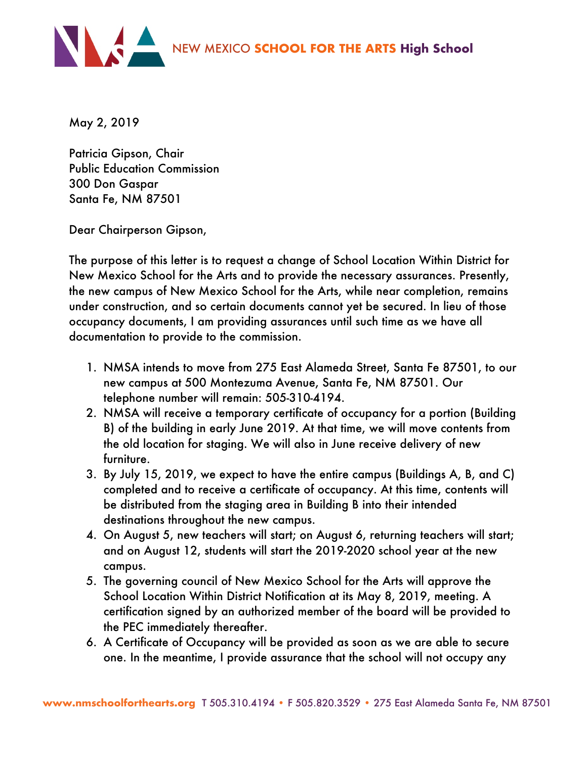

May 2, 2019

Patricia Gipson, Chair Public Education Commission 300 Don Gaspar Santa Fe, NM 87501

Dear Chairperson Gipson,

The purpose of this letter is to request a change of School Location Within District for New Mexico School for the Arts and to provide the necessary assurances. Presently, the new campus of New Mexico School for the Arts, while near completion, remains under construction, and so certain documents cannot yet be secured. In lieu of those occupancy documents, I am providing assurances until such time as we have all documentation to provide to the commission.

- 1. NMSA intends to move from 275 East Alameda Street, Santa Fe 87501, to our new campus at 500 Montezuma Avenue, Santa Fe, NM 87501. Our telephone number will remain: 505-310-4194.
- 2. NMSA will receive a temporary certificate of occupancy for a portion (Building B) of the building in early June 2019. At that time, we will move contents from the old location for staging. We will also in June receive delivery of new furniture.
- 3. By July 15, 2019, we expect to have the entire campus (Buildings A, B, and C) completed and to receive a certificate of occupancy. At this time, contents will be distributed from the staging area in Building B into their intended destinations throughout the new campus.
- 4. On August 5, new teachers will start; on August 6, returning teachers will start; and on August 12, students will start the 2019-2020 school year at the new campus.
- 5. The governing council of New Mexico School for the Arts will approve the School Location Within District Notification at its May 8, 2019, meeting. A certification signed by an authorized member of the board will be provided to the PEC immediately thereafter.
- 6. A Certificate of Occupancy will be provided as soon as we are able to secure one. In the meantime, I provide assurance that the school will not occupy any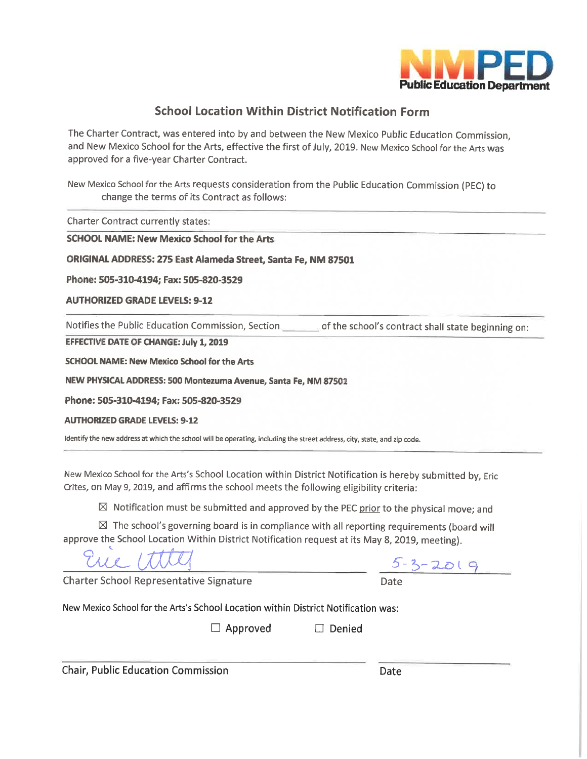

## **School Location Within District Notification Form**

The Charter Contract, was entered into by and between the New Mexico Public Education Commission, and New Mexico School for the Arts, effective the first of July, 2019. New Mexico School for the Arts was approved for a five-year Charter Contract.

New Mexico School for the Arts requests consideration from the Public Education Commission (PEC) to change the terms of its Contract as follows:

**Charter Contract currently states:** 

**SCHOOL NAME: New Mexico School for the Arts** 

ORIGINAL ADDRESS: 275 East Alameda Street, Santa Fe, NM 87501

Phone: 505-310-4194; Fax: 505-820-3529

**AUTHORIZED GRADE LEVELS: 9-12** 

Notifies the Public Education Commission, Section of the school's contract shall state beginning on:

**EFFECTIVE DATE OF CHANGE: July 1, 2019** 

**SCHOOL NAME: New Mexico School for the Arts** 

NEW PHYSICAL ADDRESS: 500 Montezuma Avenue, Santa Fe, NM 87501

Phone: 505-310-4194; Fax: 505-820-3529

**AUTHORIZED GRADE LEVELS: 9-12** 

Identify the new address at which the school will be operating, including the street address, city, state, and zip code.

New Mexico School for the Arts's School Location within District Notification is hereby submitted by, Eric Crites, on May 9, 2019, and affirms the school meets the following eligibility criteria:

 $\boxtimes$  Notification must be submitted and approved by the PEC prior to the physical move; and

 $\boxtimes$  The school's governing board is in compliance with all reporting requirements (board will approve the School Location Within District Notification request at its May 8, 2019, meeting).

**Charter School Representative Signature** 

 $5 - 3 - 2019$ 

New Mexico School for the Arts's School Location within District Notification was:

 $\Box$  Approved  $\Box$  Denied

**Chair, Public Education Commission**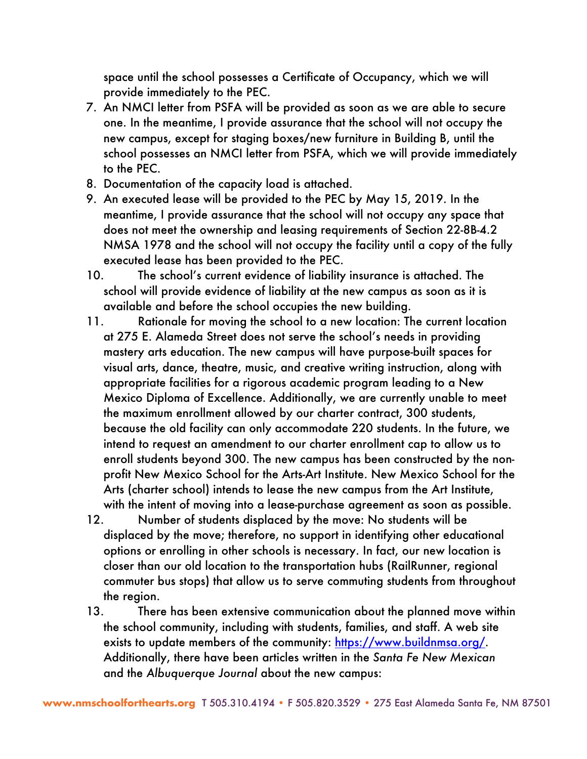space until the school possesses a Certificate of Occupancy, which we will provide immediately to the PEC.

- 7. An NMCI letter from PSFA will be provided as soon as we are able to secure one. In the meantime, I provide assurance that the school will not occupy the new campus, except for staging boxes/new furniture in Building B, until the school possesses an NMCI letter from PSFA, which we will provide immediately to the PEC.
- 8. Documentation of the capacity load is attached.
- 9. An executed lease will be provided to the PEC by May 15, 2019. In the meantime, I provide assurance that the school will not occupy any space that does not meet the ownership and leasing requirements of Section 22-8B-4.2 NMSA 1978 and the school will not occupy the facility until a copy of the fully executed lease has been provided to the PEC.
- 10. The school's current evidence of liability insurance is attached. The school will provide evidence of liability at the new campus as soon as it is available and before the school occupies the new building.
- 11. Rationale for moving the school to a new location: The current location at 275 E. Alameda Street does not serve the school's needs in providing mastery arts education. The new campus will have purpose-built spaces for visual arts, dance, theatre, music, and creative writing instruction, along with appropriate facilities for a rigorous academic program leading to a New Mexico Diploma of Excellence. Additionally, we are currently unable to meet the maximum enrollment allowed by our charter contract, 300 students, because the old facility can only accommodate 220 students. In the future, we intend to request an amendment to our charter enrollment cap to allow us to enroll students beyond 300. The new campus has been constructed by the nonprofit New Mexico School for the Arts-Art Institute. New Mexico School for the Arts (charter school) intends to lease the new campus from the Art Institute, with the intent of moving into a lease-purchase agreement as soon as possible.
- 12. Number of students displaced by the move: No students will be displaced by the move; therefore, no support in identifying other educational options or enrolling in other schools is necessary. In fact, our new location is closer than our old location to the transportation hubs (RailRunner, regional commuter bus stops) that allow us to serve commuting students from throughout the region.
- 13. There has been extensive communication about the planned move within the school community, including with students, families, and staff. A web site exists to update members of the community: https://www.buildnmsa.org/. Additionally, there have been articles written in the *Santa Fe New Mexican* and the *Albuquerque Journal* about the new campus: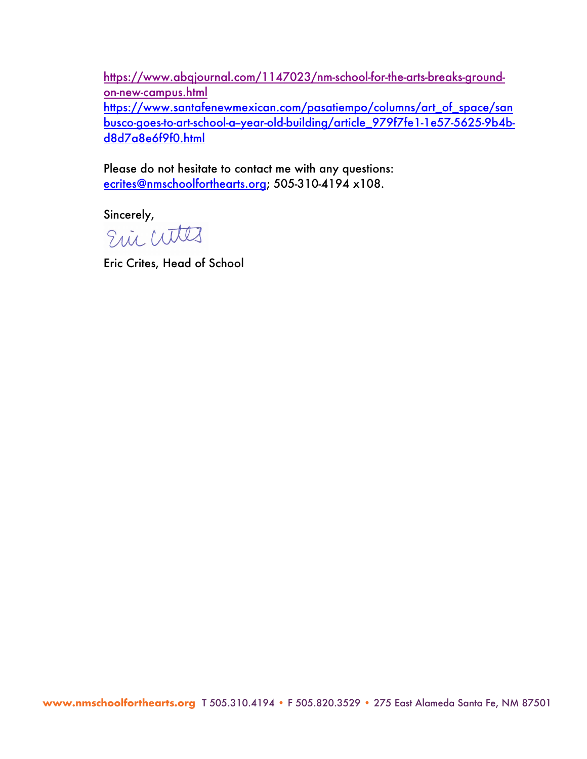https://www.abqjournal.com/1147023/nm-school-for-the-arts-breaks-groundon-new-campus.html

https://www.santafenewmexican.com/pasatiempo/columns/art\_of\_space/san busco-goes-to-art-school-a--year-old-building/article\_979f7fe1-1e57-5625-9b4bd8d7a8e6f9f0.html

Please do not hesitate to contact me with any questions: ecrites@nmschoolforthearts.org; 505-310-4194 x108.

Sincerely,<br>Edic Cutters

Eric Crites, Head of School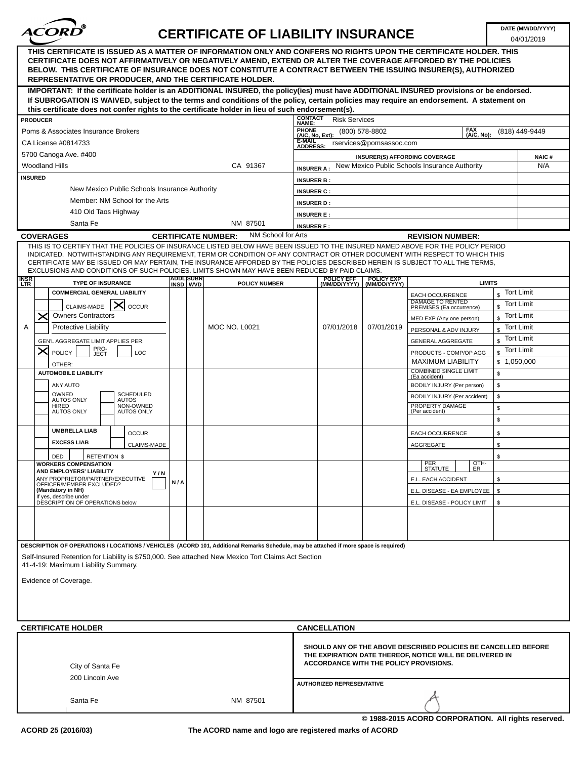

## **CERTIFICATE OF LIABILITY INSURANCE**

04/01/2019

| THIS CERTIFICATE IS ISSUED AS A MATTER OF INFORMATION ONLY AND CONFERS NO RIGHTS UPON THE CERTIFICATE HOLDER. THIS<br>CERTIFICATE DOES NOT AFFIRMATIVELY OR NEGATIVELY AMEND, EXTEND OR ALTER THE COVERAGE AFFORDED BY THE POLICIES<br>BELOW. THIS CERTIFICATE OF INSURANCE DOES NOT CONSTITUTE A CONTRACT BETWEEN THE ISSUING INSURER(S), AUTHORIZED<br><b>REPRESENTATIVE OR PRODUCER, AND THE CERTIFICATE HOLDER.</b>                                                                                                                                          |                                                                |  |
|------------------------------------------------------------------------------------------------------------------------------------------------------------------------------------------------------------------------------------------------------------------------------------------------------------------------------------------------------------------------------------------------------------------------------------------------------------------------------------------------------------------------------------------------------------------|----------------------------------------------------------------|--|
| IMPORTANT: If the certificate holder is an ADDITIONAL INSURED, the policy(ies) must have ADDITIONAL INSURED provisions or be endorsed.<br>If SUBROGATION IS WAIVED, subject to the terms and conditions of the policy, certain policies may require an endorsement. A statement on                                                                                                                                                                                                                                                                               |                                                                |  |
| this certificate does not confer rights to the certificate holder in lieu of such endorsement(s).<br><b>CONTACT</b>                                                                                                                                                                                                                                                                                                                                                                                                                                              |                                                                |  |
| <b>Risk Services</b><br><b>PRODUCER</b><br>NAME:<br><b>FAX</b>                                                                                                                                                                                                                                                                                                                                                                                                                                                                                                   |                                                                |  |
| PHONE<br>(A/C, No, Ext):<br>Poms & Associates Insurance Brokers<br>(800) 578-8802<br>(A/C, No):<br>E-MAIL                                                                                                                                                                                                                                                                                                                                                                                                                                                        | (818) 449-9449                                                 |  |
| CA License #0814733<br>rservices@pomsassoc.com<br><b>ADDRESS:</b>                                                                                                                                                                                                                                                                                                                                                                                                                                                                                                |                                                                |  |
| 5700 Canoga Ave. #400<br>INSURER(S) AFFORDING COVERAGE                                                                                                                                                                                                                                                                                                                                                                                                                                                                                                           | <b>NAIC#</b>                                                   |  |
| <b>Woodland Hills</b><br>CA 91367<br>New Mexico Public Schools Insurance Authority<br><b>INSURER A:</b>                                                                                                                                                                                                                                                                                                                                                                                                                                                          | N/A                                                            |  |
| <b>INSURED</b><br><b>INSURER B:</b>                                                                                                                                                                                                                                                                                                                                                                                                                                                                                                                              |                                                                |  |
| New Mexico Public Schools Insurance Authority<br><b>INSURER C:</b>                                                                                                                                                                                                                                                                                                                                                                                                                                                                                               |                                                                |  |
| Member: NM School for the Arts<br><b>INSURER D:</b>                                                                                                                                                                                                                                                                                                                                                                                                                                                                                                              |                                                                |  |
| 410 Old Taos Highway<br><b>INSURER E:</b>                                                                                                                                                                                                                                                                                                                                                                                                                                                                                                                        |                                                                |  |
| Santa Fe<br>NM 87501<br><b>INSURER F:</b>                                                                                                                                                                                                                                                                                                                                                                                                                                                                                                                        |                                                                |  |
| NM School for Arts<br><b>COVERAGES</b><br><b>CERTIFICATE NUMBER:</b><br><b>REVISION NUMBER:</b>                                                                                                                                                                                                                                                                                                                                                                                                                                                                  |                                                                |  |
| THIS IS TO CERTIFY THAT THE POLICIES OF INSURANCE LISTED BELOW HAVE BEEN ISSUED TO THE INSURED NAMED ABOVE FOR THE POLICY PERIOD<br>INDICATED. NOTWITHSTANDING ANY REQUIREMENT, TERM OR CONDITION OF ANY CONTRACT OR OTHER DOCUMENT WITH RESPECT TO WHICH THIS<br>CERTIFICATE MAY BE ISSUED OR MAY PERTAIN, THE INSURANCE AFFORDED BY THE POLICIES DESCRIBED HEREIN IS SUBJECT TO ALL THE TERMS,<br>EXCLUSIONS AND CONDITIONS OF SUCH POLICIES. LIMITS SHOWN MAY HAVE BEEN REDUCED BY PAID CLAIMS.<br><b>ADDL</b> SUBR<br><b>POLICY EFF</b><br><b>POLICY EXP</b> |                                                                |  |
| <b>INSR</b><br>LTR<br><b>TYPE OF INSURANCE</b><br><b>LIMITS</b><br>INSD WVD<br><b>POLICY NUMBER</b><br>(MM/DD/YYYY)<br>(MM/DD/YYYY)                                                                                                                                                                                                                                                                                                                                                                                                                              |                                                                |  |
| <b>Tort Limit</b><br><b>COMMERCIAL GENERAL LIABILITY</b><br>$\mathbf{s}$<br>EACH OCCURRENCE<br>DAMAGE TO RENTED<br>CLAIMS-MADE $ \mathsf{X} $ occur<br><b>Tort Limit</b><br>PREMISES (Ea occurrence)                                                                                                                                                                                                                                                                                                                                                             |                                                                |  |
| <b>Owners Contractors</b><br><b>Tort Limit</b><br>X<br>$\mathfrak{L}$<br>MED EXP (Any one person)                                                                                                                                                                                                                                                                                                                                                                                                                                                                |                                                                |  |
| <b>Protective Liability</b><br>Α<br><b>MOC NO. L0021</b><br>07/01/2018<br>07/01/2019<br><b>Tort Limit</b><br>$$\mathbb{S}$$<br>PERSONAL & ADV INJURY                                                                                                                                                                                                                                                                                                                                                                                                             |                                                                |  |
| <b>Tort Limit</b><br>$\mathbb{S}$<br>GEN'L AGGREGATE LIMIT APPLIES PER:<br>GENERAL AGGREGATE                                                                                                                                                                                                                                                                                                                                                                                                                                                                     |                                                                |  |
| PRO-<br>JECT<br><b>Tort Limit</b><br>$\mathbb{S}$<br><b>POLICY</b><br>LOC<br>PRODUCTS - COMP/OP AGG                                                                                                                                                                                                                                                                                                                                                                                                                                                              |                                                                |  |
| <b>MAXIMUM LIABILITY</b><br>\$1,050,000<br>OTHER:                                                                                                                                                                                                                                                                                                                                                                                                                                                                                                                |                                                                |  |
| <b>COMBINED SINGLE LIMIT</b><br>\$<br><b>AUTOMOBILE LIABILITY</b><br>(Ea accident)                                                                                                                                                                                                                                                                                                                                                                                                                                                                               |                                                                |  |
| ANY AUTO<br>\$<br>BODILY INJURY (Per person)                                                                                                                                                                                                                                                                                                                                                                                                                                                                                                                     |                                                                |  |
| SCHEDULED<br>OWNED<br>\$<br>BODILY INJURY (Per accident)<br><b>AUTOS ONLY</b><br>AUTOS                                                                                                                                                                                                                                                                                                                                                                                                                                                                           |                                                                |  |
| PROPERTY DAMAGE<br>HIRED<br>NON-OWNED<br>\$<br>(Per accident)<br><b>AUTOS ONLY</b><br><b>AUTOS ONLY</b>                                                                                                                                                                                                                                                                                                                                                                                                                                                          |                                                                |  |
| \$                                                                                                                                                                                                                                                                                                                                                                                                                                                                                                                                                               |                                                                |  |
| <b>UMBRELLA LIAB</b><br><b>OCCUR</b><br>EACH OCCURRENCE<br>\$                                                                                                                                                                                                                                                                                                                                                                                                                                                                                                    |                                                                |  |
| <b>EXCESS LIAB</b><br>\$<br>CLAIMS-MADE<br>AGGREGATE                                                                                                                                                                                                                                                                                                                                                                                                                                                                                                             |                                                                |  |
| \$<br>DED<br><b>RETENTION \$</b>                                                                                                                                                                                                                                                                                                                                                                                                                                                                                                                                 |                                                                |  |
| OTH-<br><b>WORKERS COMPENSATION</b><br>PER<br>STATUTE<br>ER                                                                                                                                                                                                                                                                                                                                                                                                                                                                                                      |                                                                |  |
| AND EMPLOYERS' LIABILITY<br>Y/N<br>ANY PROPRIETOR/PARTNER/EXECUTIVE<br>\$<br>E.L. EACH ACCIDENT<br>N/A                                                                                                                                                                                                                                                                                                                                                                                                                                                           |                                                                |  |
| OFFICER/MEMBER EXCLUDED?<br>(Mandatory in NH)<br>\$<br>E.L. DISEASE - EA EMPLOYEE                                                                                                                                                                                                                                                                                                                                                                                                                                                                                |                                                                |  |
| If yes, describe under<br>DESCRIPTION OF OPERATIONS below<br>\$<br>E.L. DISEASE - POLICY LIMIT                                                                                                                                                                                                                                                                                                                                                                                                                                                                   |                                                                |  |
|                                                                                                                                                                                                                                                                                                                                                                                                                                                                                                                                                                  |                                                                |  |
| DESCRIPTION OF OPERATIONS / LOCATIONS / VEHICLES (ACORD 101, Additional Remarks Schedule, may be attached if more space is required)<br>Self-Insured Retention for Liability is \$750,000. See attached New Mexico Tort Claims Act Section<br>41-4-19: Maximum Liability Summary.<br>Evidence of Coverage.                                                                                                                                                                                                                                                       |                                                                |  |
|                                                                                                                                                                                                                                                                                                                                                                                                                                                                                                                                                                  |                                                                |  |
| <b>CERTIFICATE HOLDER</b><br><b>CANCELLATION</b>                                                                                                                                                                                                                                                                                                                                                                                                                                                                                                                 |                                                                |  |
| THE EXPIRATION DATE THEREOF, NOTICE WILL BE DELIVERED IN<br><b>ACCORDANCE WITH THE POLICY PROVISIONS.</b><br>City of Santa Fe<br>200 Lincoln Ave<br><b>AUTHORIZED REPRESENTATIVE</b>                                                                                                                                                                                                                                                                                                                                                                             | SHOULD ANY OF THE ABOVE DESCRIBED POLICIES BE CANCELLED BEFORE |  |
|                                                                                                                                                                                                                                                                                                                                                                                                                                                                                                                                                                  |                                                                |  |
| Santa Fe<br>NM 87501<br>© 1988-2015 ACORD CORPORATION. All rights reserved.                                                                                                                                                                                                                                                                                                                                                                                                                                                                                      |                                                                |  |

**The ACORD name and logo are registered marks of ACORD**